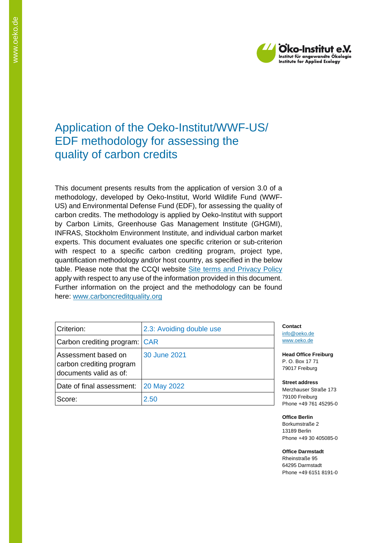

# Application of the Oeko-Institut/WWF-US/ EDF methodology for assessing the quality of carbon credits

This document presents results from the application of version 3.0 of a methodology, developed by Oeko-Institut, World Wildlife Fund (WWF-US) and Environmental Defense Fund (EDF), for assessing the quality of carbon credits. The methodology is applied by Oeko-Institut with support by Carbon Limits, Greenhouse Gas Management Institute (GHGMI), INFRAS, Stockholm Environment Institute, and individual carbon market experts. This document evaluates one specific criterion or sub-criterion with respect to a specific carbon crediting program, project type, quantification methodology and/or host country, as specified in the below table. Please note that the CCQI website [Site terms and Privacy Policy](https://carboncreditquality.org/terms.html) apply with respect to any use of the information provided in this document. Further information on the project and the methodology can be found here: [www.carboncreditquality.org](http://www.carboncreditquality.org/)

| Criterion:                                                                | 2.3: Avoiding double use | Cont<br>info@        |
|---------------------------------------------------------------------------|--------------------------|----------------------|
| Carbon crediting program: CAR                                             |                          | WWW.                 |
| Assessment based on<br>carbon crediting program<br>documents valid as of: | 30 June 2021             | Head<br>P.O.<br>7901 |
| Date of final assessment:                                                 | 20 May 2022              | <b>Stree</b><br>Merz |
| Score:                                                                    | 2.50                     | 7910<br>Phon         |

act loeko.de .oeko.de

**Office Freiburg** Box 17 71 7 Freiburg

**Street address** hauser Straße 173 0 Freiburg e +49 761 45295-0

**Office Berlin** Borkumstraße 2 13189 Berlin Phone +49 30 405085-0

**Office Darmstadt** Rheinstraße 95 64295 Darmstadt Phone +49 6151 8191-0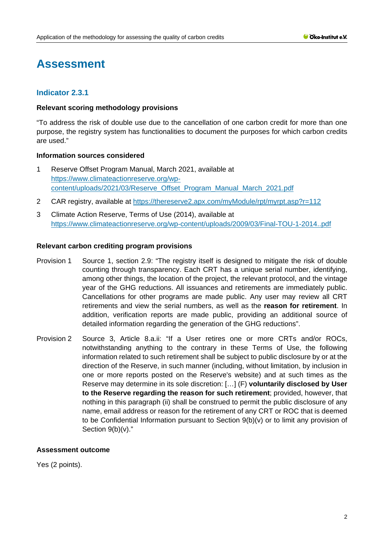# **Assessment**

# **Indicator 2.3.1**

## **Relevant scoring methodology provisions**

"To address the risk of double use due to the cancellation of one carbon credit for more than one purpose, the registry system has functionalities to document the purposes for which carbon credits are used."

## **Information sources considered**

- 1 Reserve Offset Program Manual, March 2021, available at [https://www.climateactionreserve.org/wp](https://www.climateactionreserve.org/wp-content/uploads/2021/03/Reserve_Offset_Program_Manual_March_2021.pdf)[content/uploads/2021/03/Reserve\\_Offset\\_Program\\_Manual\\_March\\_2021.pdf](https://www.climateactionreserve.org/wp-content/uploads/2021/03/Reserve_Offset_Program_Manual_March_2021.pdf)
- 2 CAR registry, available at<https://thereserve2.apx.com/myModule/rpt/myrpt.asp?r=112>
- 3 Climate Action Reserve, Terms of Use (2014), available at <https://www.climateactionreserve.org/wp-content/uploads/2009/03/Final-TOU-1-2014..pdf>

## **Relevant carbon crediting program provisions**

- Provision 1 Source 1, section 2.9: "The registry itself is designed to mitigate the risk of double counting through transparency. Each CRT has a unique serial number, identifying, among other things, the location of the project, the relevant protocol, and the vintage year of the GHG reductions. All issuances and retirements are immediately public. Cancellations for other programs are made public. Any user may review all CRT retirements and view the serial numbers, as well as the **reason for retirement**. In addition, verification reports are made public, providing an additional source of detailed information regarding the generation of the GHG reductions".
- Provision 2 Source 3, Article 8.a.ii: "If a User retires one or more CRTs and/or ROCs, notwithstanding anything to the contrary in these Terms of Use, the following information related to such retirement shall be subject to public disclosure by or at the direction of the Reserve, in such manner (including, without limitation, by inclusion in one or more reports posted on the Reserve's website) and at such times as the Reserve may determine in its sole discretion: […] (F) **voluntarily disclosed by User to the Reserve regarding the reason for such retirement**; provided, however, that nothing in this paragraph (ii) shall be construed to permit the public disclosure of any name, email address or reason for the retirement of any CRT or ROC that is deemed to be Confidential Information pursuant to Section 9(b)(v) or to limit any provision of Section 9(b)(v)."

#### **Assessment outcome**

Yes (2 points).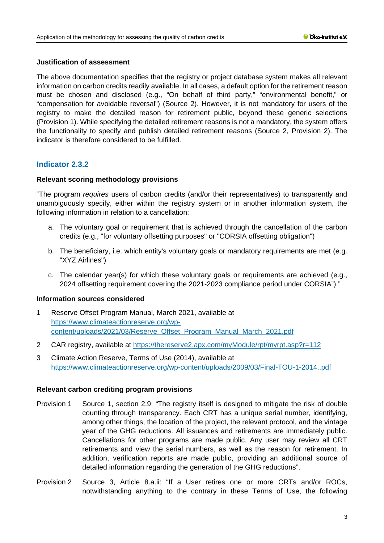## **Justification of assessment**

The above documentation specifies that the registry or project database system makes all relevant information on carbon credits readily available. In all cases, a default option for the retirement reason must be chosen and disclosed (e.g., "On behalf of third party," "environmental benefit," or "compensation for avoidable reversal") (Source 2). However, it is not mandatory for users of the registry to make the detailed reason for retirement public, beyond these generic selections (Provision 1). While specifying the detailed retirement reasons is not a mandatory, the system offers the functionality to specify and publish detailed retirement reasons (Source 2, Provision 2). The indicator is therefore considered to be fulfilled.

## **Indicator 2.3.2**

## **Relevant scoring methodology provisions**

"The program *requires* users of carbon credits (and/or their representatives) to transparently and unambiguously specify, either within the registry system or in another information system, the following information in relation to a cancellation:

- a. The voluntary goal or requirement that is achieved through the cancellation of the carbon credits (e.g., "for voluntary offsetting purposes" or "CORSIA offsetting obligation")
- b. The beneficiary, i.e. which entity's voluntary goals or mandatory requirements are met (e.g. "XYZ Airlines")
- c. The calendar year(s) for which these voluntary goals or requirements are achieved (e.g., 2024 offsetting requirement covering the 2021-2023 compliance period under CORSIA")."

## **Information sources considered**

- 1 Reserve Offset Program Manual, March 2021, available at [https://www.climateactionreserve.org/wp](https://www.climateactionreserve.org/wp-content/uploads/2021/03/Reserve_Offset_Program_Manual_March_2021.pdf)[content/uploads/2021/03/Reserve\\_Offset\\_Program\\_Manual\\_March\\_2021.pdf](https://www.climateactionreserve.org/wp-content/uploads/2021/03/Reserve_Offset_Program_Manual_March_2021.pdf)
- 2 CAR registry, available at<https://thereserve2.apx.com/myModule/rpt/myrpt.asp?r=112>
- 3 Climate Action Reserve, Terms of Use (2014), available at <https://www.climateactionreserve.org/wp-content/uploads/2009/03/Final-TOU-1-2014..pdf>

## **Relevant carbon crediting program provisions**

- Provision 1 Source 1, section 2.9: "The registry itself is designed to mitigate the risk of double counting through transparency. Each CRT has a unique serial number, identifying, among other things, the location of the project, the relevant protocol, and the vintage year of the GHG reductions. All issuances and retirements are immediately public. Cancellations for other programs are made public. Any user may review all CRT retirements and view the serial numbers, as well as the reason for retirement. In addition, verification reports are made public, providing an additional source of detailed information regarding the generation of the GHG reductions".
- Provision 2 Source 3, Article 8.a.ii: "If a User retires one or more CRTs and/or ROCs, notwithstanding anything to the contrary in these Terms of Use, the following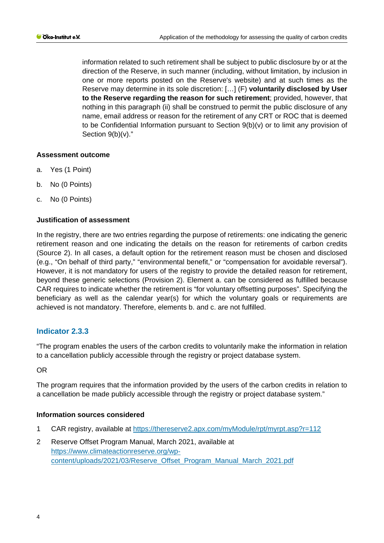information related to such retirement shall be subject to public disclosure by or at the direction of the Reserve, in such manner (including, without limitation, by inclusion in one or more reports posted on the Reserve's website) and at such times as the Reserve may determine in its sole discretion: […] (F) **voluntarily disclosed by User to the Reserve regarding the reason for such retirement**; provided, however, that nothing in this paragraph (ii) shall be construed to permit the public disclosure of any name, email address or reason for the retirement of any CRT or ROC that is deemed to be Confidential Information pursuant to Section 9(b)(v) or to limit any provision of Section 9(b)(v)."

## **Assessment outcome**

- a. Yes (1 Point)
- b. No (0 Points)
- c. No (0 Points)

## **Justification of assessment**

In the registry, there are two entries regarding the purpose of retirements: one indicating the generic retirement reason and one indicating the details on the reason for retirements of carbon credits (Source 2). In all cases, a default option for the retirement reason must be chosen and disclosed (e.g., "On behalf of third party," "environmental benefit," or "compensation for avoidable reversal"). However, it is not mandatory for users of the registry to provide the detailed reason for retirement, beyond these generic selections (Provision 2). Element a. can be considered as fulfilled because CAR requires to indicate whether the retirement is "for voluntary offsetting purposes". Specifying the beneficiary as well as the calendar year(s) for which the voluntary goals or requirements are achieved is not mandatory. Therefore, elements b. and c. are not fulfilled.

## **Indicator 2.3.3**

"The program enables the users of the carbon credits to voluntarily make the information in relation to a cancellation publicly accessible through the registry or project database system.

OR

The program requires that the information provided by the users of the carbon credits in relation to a cancellation be made publicly accessible through the registry or project database system."

#### **Information sources considered**

- 1 CAR registry, available at<https://thereserve2.apx.com/myModule/rpt/myrpt.asp?r=112>
- 2 Reserve Offset Program Manual, March 2021, available at [https://www.climateactionreserve.org/wp](https://www.climateactionreserve.org/wp-content/uploads/2021/03/Reserve_Offset_Program_Manual_March_2021.pdf)[content/uploads/2021/03/Reserve\\_Offset\\_Program\\_Manual\\_March\\_2021.pdf](https://www.climateactionreserve.org/wp-content/uploads/2021/03/Reserve_Offset_Program_Manual_March_2021.pdf)